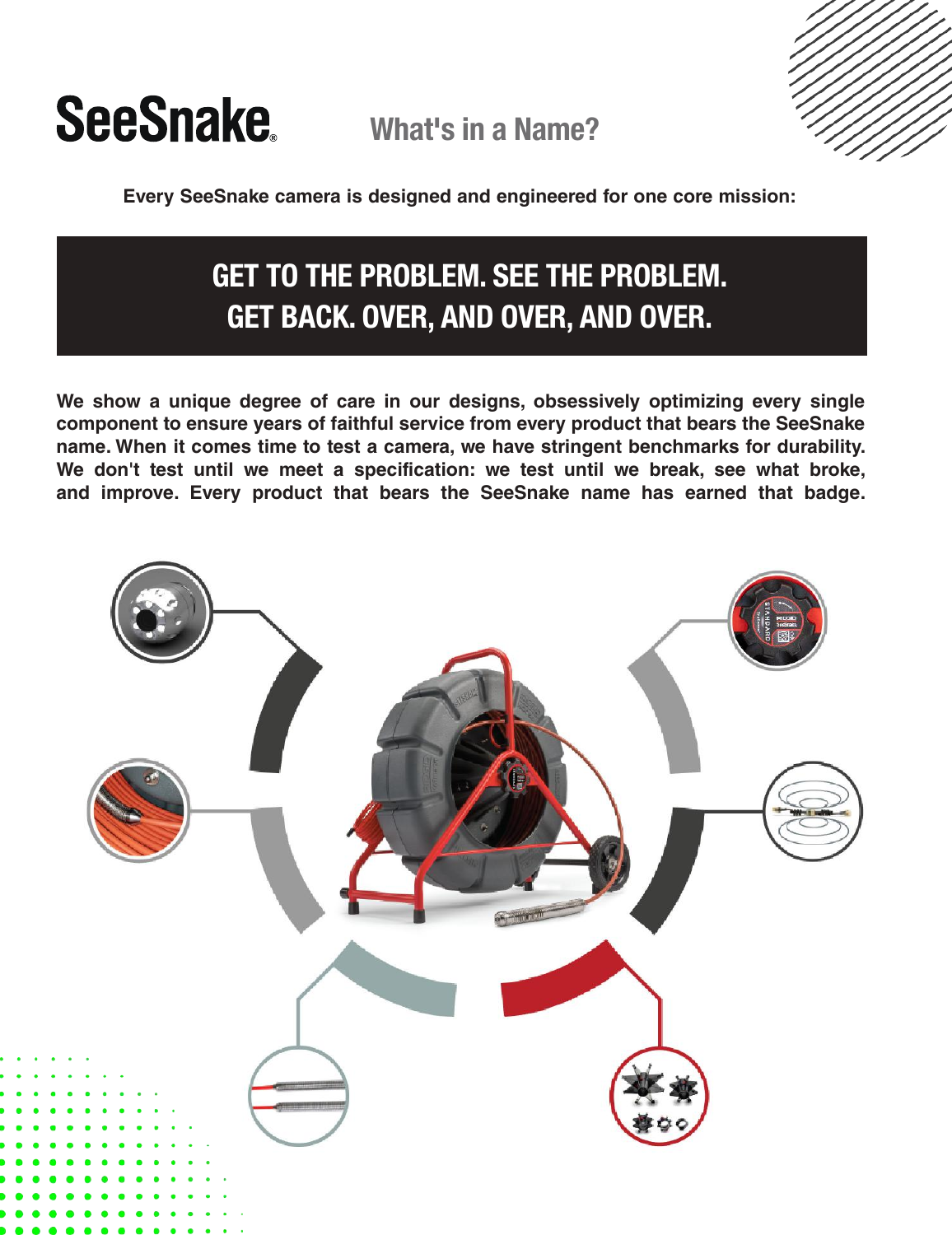

What's in a Name?



**Every SeeSnake camera is designed and engineered for one core mission:**

# GET TO THE PROBLEM. SEE THE PROBLEM. GET BACK. OVER, AND OVER, AND OVER.

**We show a unique degree of care in our designs, obsessively optimizing every single component to ensure years of faithful service from every product that bears the SeeSnake name. When it comes time to test a camera, we have stringent benchmarks for durability. We don't test until we meet a specification: we test until we break, see what broke, and improve. Every product that bears the SeeSnake name has earned that badge.**

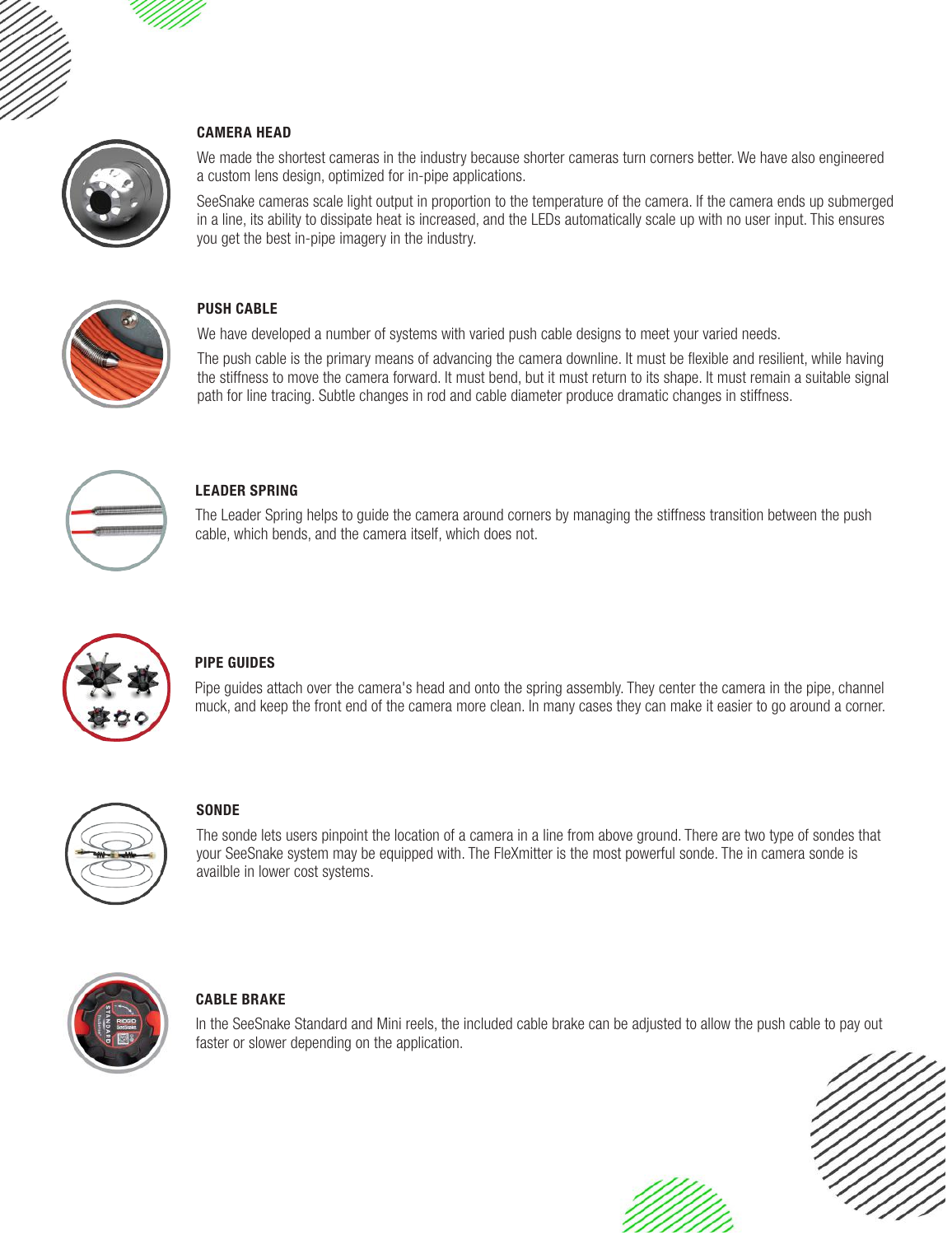#### CAMERA HEAD



We made the shortest cameras in the industry because shorter cameras turn corners better. We have also engineered a custom lens design, optimized for in-pipe applications.

SeeSnake cameras scale light output in proportion to the temperature of the camera. If the camera ends up submerged in a line, its ability to dissipate heat is increased, and the LEDs automatically scale up with no user input. This ensures you get the best in-pipe imagery in the industry.



#### PUSH CABLE

We have developed a number of systems with varied push cable designs to meet your varied needs.

The push cable is the primary means of advancing the camera downline. It must be flexible and resilient, while having the stiffness to move the camera forward. It must bend, but it must return to its shape. It must remain a suitable signal path for line tracing. Subtle changes in rod and cable diameter produce dramatic changes in stiffness.



# LEADER SPRING

The Leader Spring helps to guide the camera around corners by managing the stiffness transition between the push cable, which bends, and the camera itself, which does not.



# PIPE GUIDES

Pipe guides attach over the camera's head and onto the spring assembly. They center the camera in the pipe, channel muck, and keep the front end of the camera more clean. In many cases they can make it easier to go around a corner.



# **SONDE**

The sonde lets users pinpoint the location of a camera in a line from above ground. There are two type of sondes that your SeeSnake system may be equipped with. The FleXmitter is the most powerful sonde. The in camera sonde is availble in lower cost systems.



# CABLE BRAKE

In the SeeSnake Standard and Mini reels, the included cable brake can be adjusted to allow the push cable to pay out faster or slower depending on the application.